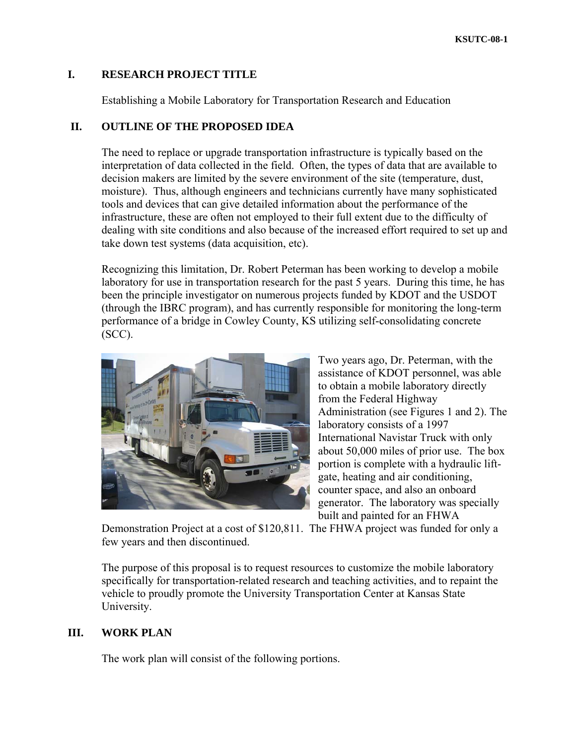### **I. RESEARCH PROJECT TITLE**

Establishing a Mobile Laboratory for Transportation Research and Education

### **II. OUTLINE OF THE PROPOSED IDEA**

The need to replace or upgrade transportation infrastructure is typically based on the interpretation of data collected in the field. Often, the types of data that are available to decision makers are limited by the severe environment of the site (temperature, dust, moisture). Thus, although engineers and technicians currently have many sophisticated tools and devices that can give detailed information about the performance of the infrastructure, these are often not employed to their full extent due to the difficulty of dealing with site conditions and also because of the increased effort required to set up and take down test systems (data acquisition, etc).

Recognizing this limitation, Dr. Robert Peterman has been working to develop a mobile laboratory for use in transportation research for the past 5 years. During this time, he has been the principle investigator on numerous projects funded by KDOT and the USDOT (through the IBRC program), and has currently responsible for monitoring the long-term performance of a bridge in Cowley County, KS utilizing self-consolidating concrete (SCC).



Two years ago, Dr. Peterman, with the assistance of KDOT personnel, was able to obtain a mobile laboratory directly from the Federal Highway Administration (see Figures 1 and 2). The laboratory consists of a 1997 International Navistar Truck with only about 50,000 miles of prior use. The bo x portion is complete with a hydraulic liftgate, heating and air conditioning, counter space, and also an onboard generator. The laboratory was specially built and painted for an FHWA

Demonstration Project at a cost of \$120,811. The FHWA project was funded for only a few years and then discontinued.

specifically for transportation-related research and teaching activities, and to repaint the vehicle to proudly promote the University Transportation Center at Kansas State University. The purpose of this proposal is to request resources to customize the mobile laboratory

#### **I. WORK PLAN II**

The work plan will consist of the following portions.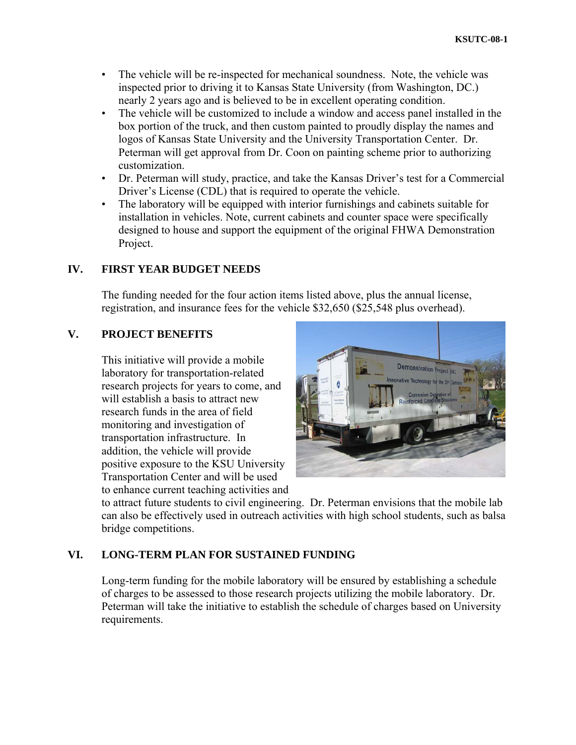- The vehicle will be re-inspected for mechanical soundness. Note, the vehicle was inspected prior to driving it to Kansas State University (from Washington, DC.) nearly 2 years ago and is believed to be in excellent operating condition.
- The vehicle will be customized to include a window and access panel installed in the box portion of the truck, and then custom painted to proudly display the names and logos of Kansas State University and the University Transportation Center. Dr. Peterman will get approval from Dr. Coon on painting scheme prior to authorizing customization.
- Dr. Peterman will study, practice, and take the Kansas Driver's test for a Commercial Driver's License (CDL) that is required to operate the vehicle.
- The laboratory will be equipped with interior furnishings and cabinets suitable for installation in vehicles. Note, current cabinets and counter space were specifically designed to house and support the equipment of the original FHWA Demonstration Project.

# **IV. FIRST YEAR BUDGET NEEDS**

The funding needed for the four action items listed above, plus the annual license, registration, and insurance fees for the vehicle \$32,650 (\$25,548 plus overhead).

## **V. PROJECT BENEFITS**

This initiative will provide a mobile laboratory for transportation-related research projects for years to come, and will establish a basis to attract new research funds in the area of field monitoring and investigation of transportation infrastructure. In addition, the vehicle will provide positive exposure to the KSU University Transportation Center and will be used to enhance current teaching activities and



to attract future students to civil engineering. Dr. Peterman envisions that the mobile lab can also be effectively used in outreach activities with high school students, such as balsa bridge competitions.

# **VI. LONG-TERM PLAN FOR SUSTAINED FUNDING**

Long-term funding for the mobile laboratory will be ensured by establishing a schedule of charges to be assessed to those research projects utilizing the mobile laboratory. Dr. Peterman will take the initiative to establish the schedule of charges based on University requirements.